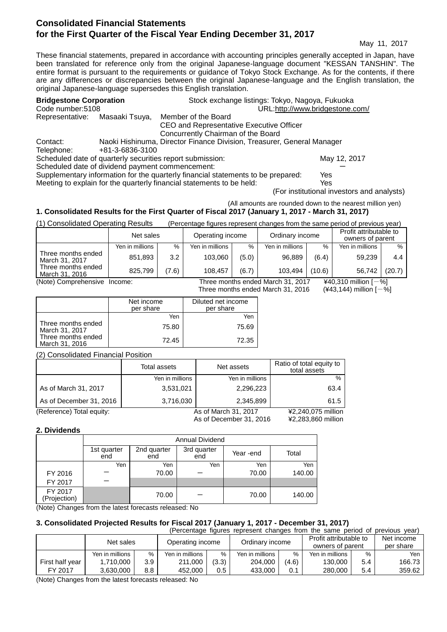## **Consolidated Financial Statements for the First Quarter of the Fiscal Year Ending December 31, 2017**

May 11, 2017

These financial statements, prepared in accordance with accounting principles generally accepted in Japan, have been translated for reference only from the original Japanese-language document "KESSAN TANSHIN". The entire format is pursuant to the requirements or guidance of Tokyo Stock Exchange. As for the contents, if there are any differences or discrepancies between the original Japanese-language and the English translation, the original Japanese-language supersedes this English translation.

| <b>Bridgestone Corporation</b><br>Code number:5108                               |                 | Stock exchange listings: Tokyo, Nagoya, Fukuoka                        | URL:http://www.bridgestone.com/ |  |  |
|----------------------------------------------------------------------------------|-----------------|------------------------------------------------------------------------|---------------------------------|--|--|
| Representative: Masaaki Tsuya,                                                   |                 | Member of the Board                                                    |                                 |  |  |
|                                                                                  |                 | CEO and Representative Executive Officer                               |                                 |  |  |
|                                                                                  |                 | Concurrently Chairman of the Board                                     |                                 |  |  |
| Contact:                                                                         |                 | Naoki Hishinuma, Director Finance Division, Treasurer, General Manager |                                 |  |  |
| Telephone:                                                                       | +81-3-6836-3100 |                                                                        |                                 |  |  |
| Scheduled date of quarterly securities report submission:                        |                 | May 12, 2017                                                           |                                 |  |  |
| Scheduled date of dividend payment commencement:                                 |                 |                                                                        |                                 |  |  |
| Supplementary information for the quarterly financial statements to be prepared: |                 | $V_{\Omega}$                                                           |                                 |  |  |

Supplementary information for the quarterly financial statements to be prepared: Yes Meeting to explain for the quarterly financial statements to be held: Yes

(For institutional investors and analysts)

## (All amounts are rounded down to the nearest million yen)

## **1. Consolidated Results for the First Quarter of Fiscal 2017 (January 1, 2017 - March 31, 2017)**

(1) Consolidated Operating Results (Percentage figures represent changes from the same period of previous year)

|                                                                                                | Net sales       |       | Operating income |       | Ordinary income |        | Profit attributable to<br>owners of parent |        |
|------------------------------------------------------------------------------------------------|-----------------|-------|------------------|-------|-----------------|--------|--------------------------------------------|--------|
|                                                                                                | Yen in millions | %     | Yen in millions  | %     | Yen in millions | %      | Yen in millions                            | $\%$   |
| Three months ended<br>March 31, 2017                                                           | 851,893         | 3.2   | 103.060          | (5.0) | 96,889          | (6.4)  | 59.239                                     | 4.4    |
| Three months ended<br>March 31, 2016                                                           | 825.799         | (7.6) | 108.457          | (6.7) | 103.494         | (10.6) | 56.742                                     | (20.7) |
| ¥40,310 million $[-%]$<br>(Note) Comprehensive<br>Three months ended March 31, 2017<br>Income: |                 |       |                  |       |                 |        |                                            |        |

Three months ended March 31, 2016 ( $\angle$ 43,144) million  $[-\%]$ 

|                                      | Net income<br>per share | Diluted net income<br>per share |
|--------------------------------------|-------------------------|---------------------------------|
|                                      | Yen                     | Yen                             |
| Three months ended<br>March 31, 2017 | 75.80                   | 75.69                           |
| Three months ended<br>March 31, 2016 | 72.45                   | 72.35                           |

(2) Consolidated Financial Position

|                           | Total assets    | Net assets              | Ratio of total equity to<br>total assets |
|---------------------------|-----------------|-------------------------|------------------------------------------|
|                           | Yen in millions | Yen in millions         | $\%$                                     |
| As of March 31, 2017      | 3,531,021       | 2,296,223               | 63.4                                     |
| As of December 31, 2016   | 3,716,030       | 2,345,899               | 61.5                                     |
| (Reference) Total equity: |                 | As of March 31, 2017    | ¥2,240,075 million                       |
|                           |                 | As of December 31, 2016 | ¥2,283,860 million                       |

#### **2. Dividends**

|                         | Annual Dividend    |                    |                    |           |        |  |
|-------------------------|--------------------|--------------------|--------------------|-----------|--------|--|
|                         | 1st quarter<br>end | 2nd quarter<br>end | 3rd quarter<br>end | Year -end | Total  |  |
|                         | Yen                | Yen                | Yen                | Yen       | Yen    |  |
| FY 2016                 |                    | 70.00              |                    | 70.00     | 140.00 |  |
| FY 2017                 |                    |                    |                    |           |        |  |
| FY 2017<br>(Projection) |                    | 70.00              |                    | 70.00     | 140.00 |  |

(Note) Changes from the latest forecasts released: No

## **3. Consolidated Projected Results for Fiscal 2017 (January 1, 2017 - December 31, 2017)**

| (Percentage figures represent changes from the same period of previous year) |                 |     |                                     |       |                 |                                            |                 |                         |        |
|------------------------------------------------------------------------------|-----------------|-----|-------------------------------------|-------|-----------------|--------------------------------------------|-----------------|-------------------------|--------|
|                                                                              | Net sales       |     | Ordinary income<br>Operating income |       |                 | Profit attributable to<br>owners of parent |                 | Net income<br>per share |        |
|                                                                              | Yen in millions | %   | Yen in millions                     | $\%$  | Yen in millions | $\%$                                       | Yen in millions | $\%$                    | Yen    |
| First half year                                                              | 1.710.000       | 3.9 | 211.000                             | (3.3) | 204.000         | (4.6)                                      | 130,000         | 5.4                     | 166.73 |
| FY 2017                                                                      | 3.630.000       | 8.8 | 452,000                             | 0.5   | 433,000         | 0.1                                        | 280,000         | 5.4                     | 359.62 |

(Note) Changes from the latest forecasts released: No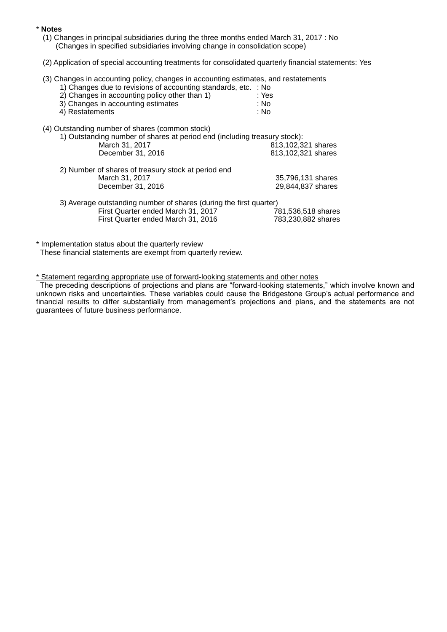#### \* **Notes**

- (1) Changes in principal subsidiaries during the three months ended March 31, 2017 : No (Changes in specified subsidiaries involving change in consolidation scope)
- (2) Application of special accounting treatments for consolidated quarterly financial statements: Yes
- (3) Changes in accounting policy, changes in accounting estimates, and restatements
	- 1) Changes due to revisions of accounting standards, etc. : No
	- 2) Changes in accounting policy other than 1)  $\qquad \qquad$ : Yes<br>3) Changes in accounting estimates  $\qquad \qquad$ : No 3) Changes in accounting estimates  $\begin{array}{ccc} 3 & 3 & 1 \\ 4 & 1 & 1 \end{array}$  Restatements : No
	- $4)$  Restatements
- (4) Outstanding number of shares (common stock)

|  | 1) Outstanding number of shares at period end (including treasury stock): |                    |
|--|---------------------------------------------------------------------------|--------------------|
|  | March 31, 2017                                                            | 813,102,321 shares |
|  | December 31, 2016                                                         | 813,102,321 shares |
|  | 2) Number of shares of treasury stock at period end                       |                    |
|  | March 31, 2017                                                            | 35,796,131 shares  |
|  | December 31, 2016                                                         | 29,844,837 shares  |
|  | 3) Average outstanding number of shares (during the first quarter)        |                    |
|  | First Quarter ended March 31, 2017                                        | 781,536,518 shares |
|  | First Quarter ended March 31, 2016                                        | 783,230,882 shares |

\* Implementation status about the quarterly review

These financial statements are exempt from quarterly review.

\* Statement regarding appropriate use of forward-looking statements and other notes

The preceding descriptions of projections and plans are "forward-looking statements," which involve known and unknown risks and uncertainties. These variables could cause the Bridgestone Group's actual performance and financial results to differ substantially from management's projections and plans, and the statements are not guarantees of future business performance.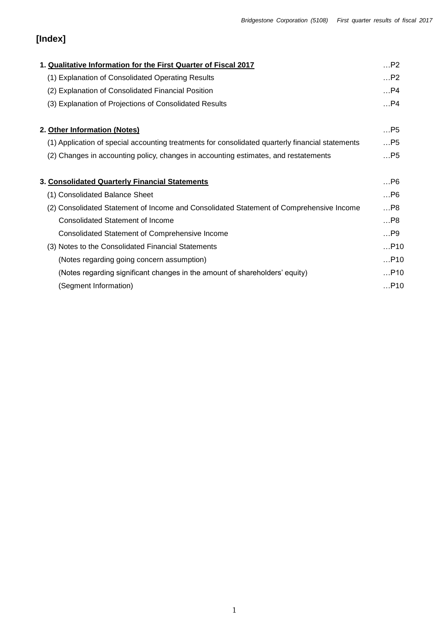# **[Index]**

| 1. Qualitative Information for the First Quarter of Fiscal 2017                                  | P2    |
|--------------------------------------------------------------------------------------------------|-------|
| (1) Explanation of Consolidated Operating Results                                                | P2    |
| (2) Explanation of Consolidated Financial Position                                               | $$ P4 |
| (3) Explanation of Projections of Consolidated Results                                           | P4    |
| 2. Other Information (Notes)                                                                     | $$ P5 |
| (1) Application of special accounting treatments for consolidated quarterly financial statements | P5    |
| (2) Changes in accounting policy, changes in accounting estimates, and restatements              | $$ P5 |
| 3. Consolidated Quarterly Financial Statements                                                   | P6    |
| (1) Consolidated Balance Sheet                                                                   | $$ P6 |
| (2) Consolidated Statement of Income and Consolidated Statement of Comprehensive Income          | $$ P8 |
| <b>Consolidated Statement of Income</b>                                                          | P8    |
| Consolidated Statement of Comprehensive Income                                                   | $$ P9 |
| (3) Notes to the Consolidated Financial Statements                                               | P10   |
| (Notes regarding going concern assumption)                                                       | P10   |
| (Notes regarding significant changes in the amount of shareholders' equity)                      | P10   |
| (Segment Information)                                                                            | P10   |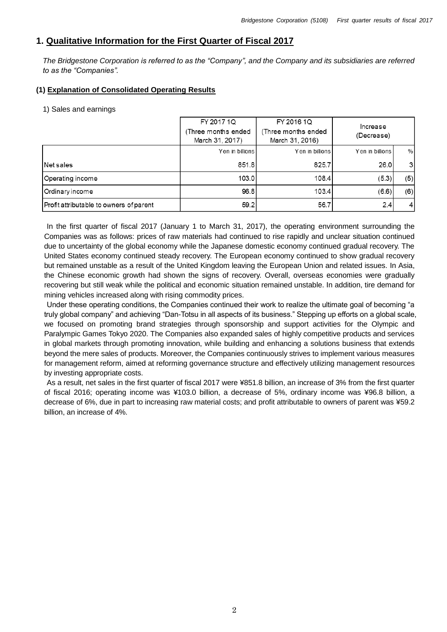## **1. Qualitative Information for the First Quarter of Fiscal 2017**

*The Bridgestone Corporation is referred to as the "Company", and the Company and its subsidiaries are referred to as the "Companies".*

## **(1) Explanation of Consolidated Operating Results**

#### 1) Sales and earnings

|                                         | FY 2017 1Q                             | FY 2016 1Q<br>Increase<br>(Three months ended<br>(Decrease)<br>March 31, 2016) |                 |               |
|-----------------------------------------|----------------------------------------|--------------------------------------------------------------------------------|-----------------|---------------|
|                                         | (Three months ended<br>March 31, 2017) |                                                                                |                 |               |
|                                         | Yen in billions                        | Yen in billions                                                                | Yen in billions | %             |
| Net sales                               | 851.8                                  | 825.7                                                                          | 26.0            | 3             |
| Operating income                        | 103.0                                  | 108.4                                                                          | (5.3)           | (5)           |
| Ordinary income                         | 96.8                                   | 103.4                                                                          | (6.6)           | (6)           |
| Profit attributable to owners of parent | 59.2                                   | 56.7                                                                           | 2.4             | $\frac{4}{ }$ |

In the first quarter of fiscal 2017 (January 1 to March 31, 2017), the operating environment surrounding the Companies was as follows: prices of raw materials had continued to rise rapidly and unclear situation continued due to uncertainty of the global economy while the Japanese domestic economy continued gradual recovery. The United States economy continued steady recovery. The European economy continued to show gradual recovery but remained unstable as a result of the United Kingdom leaving the European Union and related issues. In Asia, the Chinese economic growth had shown the signs of recovery. Overall, overseas economies were gradually recovering but still weak while the political and economic situation remained unstable. In addition, tire demand for mining vehicles increased along with rising commodity prices.

Under these operating conditions, the Companies continued their work to realize the ultimate goal of becoming "a truly global company" and achieving "Dan-Totsu in all aspects of its business." Stepping up efforts on a global scale, we focused on promoting brand strategies through sponsorship and support activities for the Olympic and Paralympic Games Tokyo 2020. The Companies also expanded sales of highly competitive products and services in global markets through promoting innovation, while building and enhancing a solutions business that extends beyond the mere sales of products. Moreover, the Companies continuously strives to implement various measures for management reform, aimed at reforming governance structure and effectively utilizing management resources by investing appropriate costs.

As a result, net sales in the first quarter of fiscal 2017 were ¥851.8 billion, an increase of 3% from the first quarter of fiscal 2016; operating income was ¥103.0 billion, a decrease of 5%, ordinary income was ¥96.8 billion, a decrease of 6%, due in part to increasing raw material costs; and profit attributable to owners of parent was ¥59.2 billion, an increase of 4%.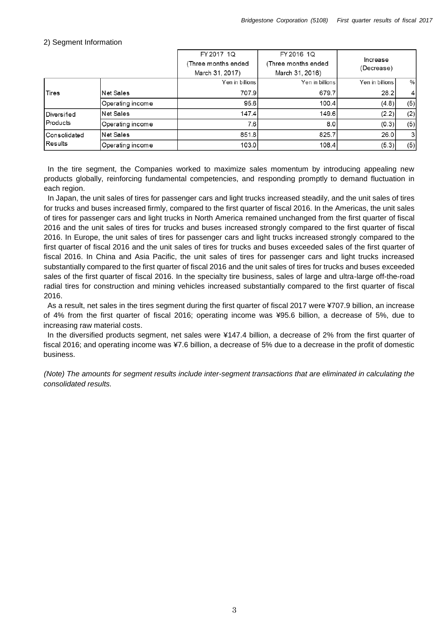#### FY 2017 1Q FY 2016 1Q Increase (Three months ended (Three months ended (Decrease) March 31, 2017) March 31, 2016) Yen in billions Yen in billions Yen in billions  $\frac{0}{6}$ 707.9  $\overline{4}$ **Tires Net Sales** 679.7 28.2 95.6 100.4  $(4.8)$  $(5)$ Operating income **Net Sales** 147.4 149.6  $(2.2)$  $(2)$ Diversified Products Operating income 7.6  $8.0$  $(0.3)$  $(5)$ Consolidated Net Sales 851.8 825.7 26.0 3 Results  $(5)$ Operating income 103.0 108.4  $(5.3)$

#### 2) Segment Information

In the tire segment, the Companies worked to maximize sales momentum by introducing appealing new products globally, reinforcing fundamental competencies, and responding promptly to demand fluctuation in each region.

In Japan, the unit sales of tires for passenger cars and light trucks increased steadily, and the unit sales of tires for trucks and buses increased firmly, compared to the first quarter of fiscal 2016. In the Americas, the unit sales of tires for passenger cars and light trucks in North America remained unchanged from the first quarter of fiscal 2016 and the unit sales of tires for trucks and buses increased strongly compared to the first quarter of fiscal 2016. In Europe, the unit sales of tires for passenger cars and light trucks increased strongly compared to the first quarter of fiscal 2016 and the unit sales of tires for trucks and buses exceeded sales of the first quarter of fiscal 2016. In China and Asia Pacific, the unit sales of tires for passenger cars and light trucks increased substantially compared to the first quarter of fiscal 2016 and the unit sales of tires for trucks and buses exceeded sales of the first quarter of fiscal 2016. In the specialty tire business, sales of large and ultra-large off-the-road radial tires for construction and mining vehicles increased substantially compared to the first quarter of fiscal 2016.

As a result, net sales in the tires segment during the first quarter of fiscal 2017 were ¥707.9 billion, an increase of 4% from the first quarter of fiscal 2016; operating income was ¥95.6 billion, a decrease of 5%, due to increasing raw material costs.

In the diversified products segment, net sales were ¥147.4 billion, a decrease of 2% from the first quarter of fiscal 2016; and operating income was ¥7.6 billion, a decrease of 5% due to a decrease in the profit of domestic business.

*(Note) The amounts for segment results include inter-segment transactions that are eliminated in calculating the consolidated results.*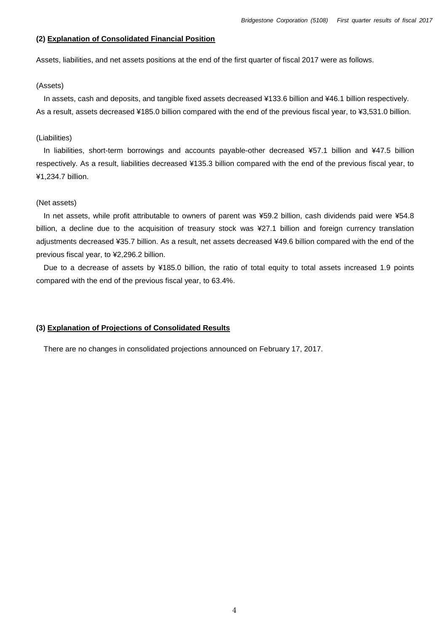#### **(2) Explanation of Consolidated Financial Position**

Assets, liabilities, and net assets positions at the end of the first quarter of fiscal 2017 were as follows.

#### (Assets)

 In assets, cash and deposits, and tangible fixed assets decreased ¥133.6 billion and ¥46.1 billion respectively. As a result, assets decreased ¥185.0 billion compared with the end of the previous fiscal year, to ¥3,531.0 billion.

#### (Liabilities)

In liabilities, short-term borrowings and accounts payable-other decreased ¥57.1 billion and ¥47.5 billion respectively. As a result, liabilities decreased ¥135.3 billion compared with the end of the previous fiscal year, to ¥1,234.7 billion.

#### (Net assets)

In net assets, while profit attributable to owners of parent was ¥59.2 billion, cash dividends paid were ¥54.8 billion, a decline due to the acquisition of treasury stock was ¥27.1 billion and foreign currency translation adjustments decreased ¥35.7 billion. As a result, net assets decreased ¥49.6 billion compared with the end of the previous fiscal year, to ¥2,296.2 billion.

Due to a decrease of assets by ¥185.0 billion, the ratio of total equity to total assets increased 1.9 points compared with the end of the previous fiscal year, to 63.4%.

#### **(3) Explanation of Projections of Consolidated Results**

There are no changes in consolidated projections announced on February 17, 2017.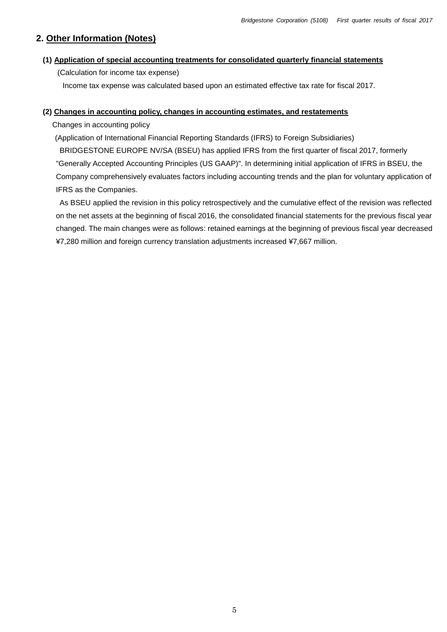## **2. Other Information (Notes)**

### **(1) Application of special accounting treatments for consolidated quarterly financial statements**

(Calculation for income tax expense)

Income tax expense was calculated based upon an estimated effective tax rate for fiscal 2017.

#### **(2) Changes in accounting policy, changes in accounting estimates, and restatements**

Changes in accounting policy

(Application of International Financial Reporting Standards (IFRS) to Foreign Subsidiaries)

BRIDGESTONE EUROPE NV/SA (BSEU) has applied IFRS from the first quarter of fiscal 2017, formerly "Generally Accepted Accounting Principles (US GAAP)". In determining initial application of IFRS in BSEU, the Company comprehensively evaluates factors including accounting trends and the plan for voluntary application of IFRS as the Companies.

As BSEU applied the revision in this policy retrospectively and the cumulative effect of the revision was reflected on the net assets at the beginning of fiscal 2016, the consolidated financial statements for the previous fiscal year changed. The main changes were as follows: retained earnings at the beginning of previous fiscal year decreased ¥7,280 million and foreign currency translation adjustments increased ¥7,667 million.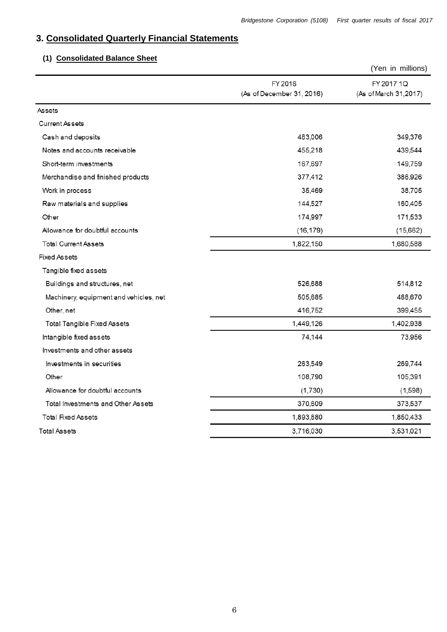## **3. Consolidated Quarterly Financial Statements**

## **(1) Consolidated Balance Sheet**

|                                        |                                      | (Yen in millions)                   |
|----------------------------------------|--------------------------------------|-------------------------------------|
|                                        | FY 2016<br>(As of December 31, 2016) | FY 2017 1Q<br>(As of March 31,2017) |
| <b>Assets</b>                          |                                      |                                     |
| <b>Current Assets</b>                  |                                      |                                     |
| Cash and deposits                      | 483,006                              | 349,376                             |
| Notes and accounts receivable          | 455,218                              | 439,544                             |
| Short-term investments                 | 167,697                              | 149,759                             |
| Merchandise and finished products      | 377,412                              | 386,926                             |
| Work in process                        | 35,469                               | 38,705                              |
| Raw materials and supplies             | 144,527                              | 160,405                             |
| Other                                  | 174,997                              | 171,533                             |
| Allowance for doubtful accounts        | (16, 179)                            | (15,662)                            |
| <b>Total Current Assets</b>            | 1,822,150                            | 1,680,588                           |
| <b>Fixed Assets</b>                    |                                      |                                     |
| Tangible fixed assets                  |                                      |                                     |
| Buildings and structures, net          | 526,688                              | 514,812                             |
| Machinery, equipment and vehicles, net | 505,685                              | 488,670                             |
| Other, net                             | 416,752                              | 399,455                             |
| <b>Total Tangible Fixed Assets</b>     | 1,449,126                            | 1,402,938                           |
| Intangible fixed assets                | 74,144                               | 73,956                              |
| Investments and other assets           |                                      |                                     |
| Investments in securities              | 263,549                              | 269,744                             |
| Other                                  | 108,790                              | 105,391                             |
| Allowance for doubtful accounts        | (1,730)                              | (1,598)                             |
| Total Investments and Other Assets     | 370,609                              | 373,537                             |
| <b>Total Fixed Assets</b>              | 1,893,880                            | 1,850,433                           |
| <b>Total Assets</b>                    | 3,716,030                            | 3,531,021                           |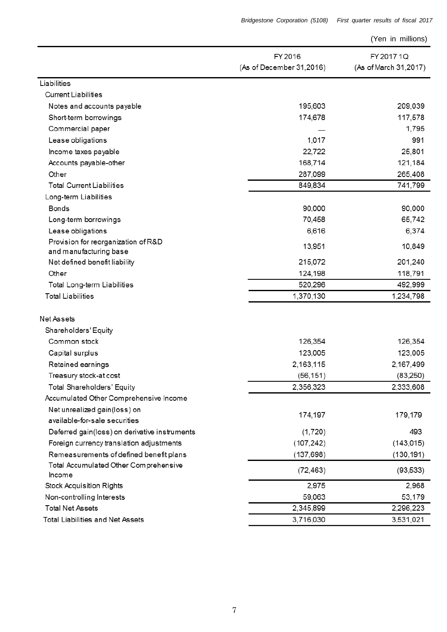|  | (Yen in millions) |
|--|-------------------|
|  |                   |

|                                                               | FY 2016                  | FY 2017 1Q            |
|---------------------------------------------------------------|--------------------------|-----------------------|
|                                                               | (As of December 31,2016) | (As of March 31,2017) |
| Liabilities                                                   |                          |                       |
| <b>Current Liabilities</b>                                    |                          |                       |
| Notes and accounts payable                                    | 195,603                  | 209,039               |
| Short-term borrowings                                         | 174,678                  | 117,578               |
| Commercial paper                                              |                          | 1,795                 |
| Lease obligations                                             | 1,017                    | 991                   |
| Income taxes payable                                          | 22,722                   | 25,801                |
| Accounts payable-other                                        | 168,714                  | 121,184               |
| Other                                                         | 287,099                  | 265,408               |
| <b>Total Current Liabilities</b>                              | 849,834                  | 741,799               |
| Long-term Liabilities                                         |                          |                       |
| Bonds                                                         | 90,000                   | 90,000                |
| Long-term borrowings                                          | 70,458                   | 65,742                |
| Lease obligations                                             | 6,616                    | 6,374                 |
| Provision for reorganization of R&D<br>and manufacturing base | 13,951                   | 10,849                |
| Net defined benefit liability                                 | 215,072                  | 201,240               |
| Other                                                         | 124,198                  | 118,791               |
| Total Long-term Liabilities                                   | 520,296                  | 492,999               |
| <b>Total Liabilities</b>                                      | 1,370,130                | 1,234,798             |
|                                                               |                          |                       |
| Net Assets                                                    |                          |                       |
| Shareholders' Equity                                          |                          |                       |
| Common stock                                                  | 126,354                  | 126,354               |
| Capital surplus                                               | 123,005                  | 123,005               |
| Retained earnings                                             | 2,163,115                | 2,167,499             |
| Treasury stock-at cost                                        | (56, 151)                | (83,250)              |
| Total Shareholders' Equity                                    | 2,356,323                | 2,333,608             |
| Accumulated Other Comprehensive Income                        |                          |                       |
| Net unrealized gain(loss) on                                  | 174,197                  | 179,179               |
| available-for-sale securities                                 |                          |                       |
| Deferred gain(loss) on derivative instruments                 | (1,720)                  | 493                   |
| Foreign currency translation adjustments                      | (107, 242)               | (143, 015)            |
| Remeasurements of defined benefit plans                       | (137, 698)               | (130, 191)            |
| Total Accumulated Other Comprehensive                         | (72, 463)                | (93, 533)             |
| Income                                                        |                          |                       |
| <b>Stock Acquisition Rights</b>                               | 2,975                    | 2,968                 |
| Non-controlling Interests                                     | 59,063                   | 53,179                |
| <b>Total Net Assets</b>                                       | 2,345,899                | 2,296,223             |
| Total Liabilities and Net Assets                              | 3,716,030                | 3,531,021             |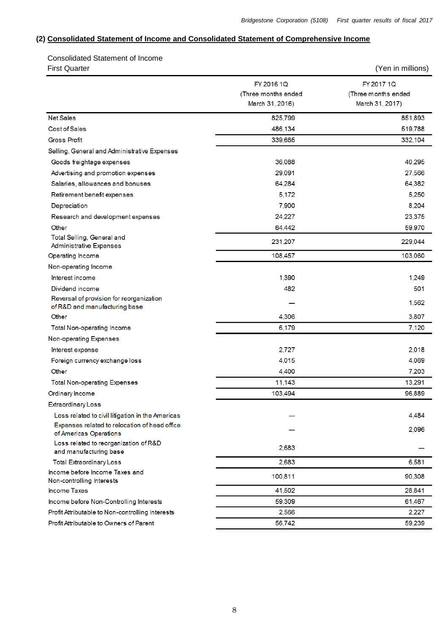### **(2) Consolidated Statement of Income and Consolidated Statement of Comprehensive Income**

 Consolidated Statement of Income First Quarter (Yen in millions)

|                                                                           | FY 2016 1Q<br>(Three months ended<br>March 31, 2016) | FY 2017 1Q<br>(Three months ended<br>March 31, 2017) |  |
|---------------------------------------------------------------------------|------------------------------------------------------|------------------------------------------------------|--|
| Net Sales                                                                 | 825,799                                              | 851,893                                              |  |
| Cost of Sales                                                             | 486,134                                              | 519,788                                              |  |
| Gross Profit                                                              | 339,665                                              | 332,104                                              |  |
| Selling, General and Administrative Expenses                              |                                                      |                                                      |  |
| Goods freightage expenses                                                 | 36,088                                               | 40,295                                               |  |
| Advertising and promotion expenses                                        | 29,091                                               | 27,566                                               |  |
| Salaries, allowances and bonuses                                          | 64,284                                               | 64,382                                               |  |
| Retirement benefit expenses                                               | 5,172                                                | 5,250                                                |  |
| Depreciation                                                              | 7,900                                                | 8,204                                                |  |
| Research and development expenses                                         | 24,227                                               | 23,375                                               |  |
| Other                                                                     | 64,442                                               | 59,970                                               |  |
| Total Selling, General and<br><b>Administrative Expenses</b>              | 231,207                                              | 229,044                                              |  |
| Operating Income                                                          | 108,457                                              | 103,060                                              |  |
| Non-operating Income                                                      |                                                      |                                                      |  |
| Interest income                                                           | 1,390                                                | 1.249                                                |  |
| Dividend income                                                           | 482                                                  | 501                                                  |  |
| Reversal of provision for reorganization<br>of R&D and manufacturing base |                                                      | 1,562                                                |  |
| Other                                                                     | 4,306                                                | 3,807                                                |  |
| Total Non-operating Income                                                | 6,179                                                | 7,120                                                |  |
| Non-operating Expenses                                                    |                                                      |                                                      |  |
| Interest expense                                                          | 2,727                                                | 2,018                                                |  |
| Foreign currency exchange loss                                            | 4,015                                                | 4,069                                                |  |
| Other                                                                     | 4,400                                                | 7,203                                                |  |
| <b>Total Non-operating Expenses</b>                                       | 11,143                                               | 13,291                                               |  |
| Ordinary Income                                                           | 103,494                                              | 96,889                                               |  |
| Extraordinary Loss                                                        |                                                      |                                                      |  |
| Loss related to civil litigation in the Americas                          |                                                      | 4,484                                                |  |
| Expenses related to relocation of head office<br>of Americas Operations   |                                                      | 2,096                                                |  |
| Loss related to reorganization of R&D<br>and manufacturing base           | 2,683                                                |                                                      |  |
| <b>Total Extraordinary Loss</b>                                           | 2,683                                                | 6,581                                                |  |
| Income before Income Taxes and<br>Non-controlling Interests               | 100,811                                              | 90,308                                               |  |
| Income Taxes                                                              | 41,502                                               | 28,841                                               |  |
| Income before Non-Controlling Interests                                   | 59,309                                               | 61,467                                               |  |
| Profit Attributable to Non-controlling Interests                          | 2,566                                                | 2,227                                                |  |
| Profit Attributable to Owners of Parent                                   | 56.742                                               | 59.239                                               |  |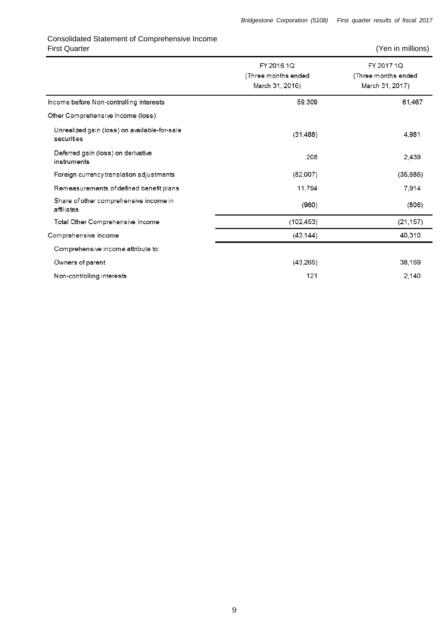## Consolidated Statement of Comprehensive Income First Quarter (Yen in millions)

|                                                            | FY 2016 1Q<br>(Three months ended<br>March 31, 2016) | FY 2017 1Q<br>(Three months ended<br>March 31, 2017) |
|------------------------------------------------------------|------------------------------------------------------|------------------------------------------------------|
| Income before Non-controlling Interests                    | 59,309                                               | 61,467                                               |
| Other Comprehensive Income (loss)                          |                                                      |                                                      |
| Unrealized gain (loss) on available-for-sale<br>securities | (31, 488)                                            | 4,981                                                |
| Deferred gain (loss) on derivative<br>instruments          | 208                                                  | 2,439                                                |
| Foreign currency translation adjustments                   | (82,007)                                             | (35,686)                                             |
| Remeasurements of defined benefit plans                    | 11,794                                               | 7,914                                                |
| Share of other comprehensive income in<br>affiliates       | (960)                                                | (806)                                                |
| Total Other Comprehensive Income                           | (102, 453)                                           | (21, 157)                                            |
| Comprehensive Income                                       | (43, 144)                                            | 40,310                                               |
| Comprehensive income attribute to:                         |                                                      |                                                      |
| Owners of parent                                           | (43,265)                                             | 38,169                                               |
| Non-controlling interests                                  | 121                                                  | 2,140                                                |